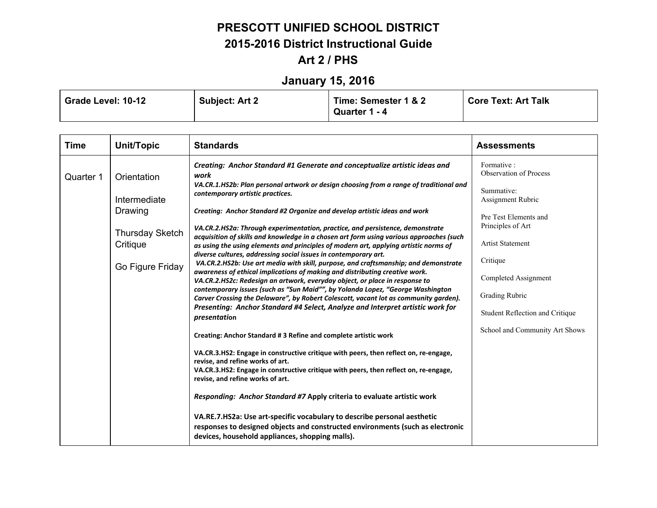# **January 15, 2016**

| Grade Level: 10-12 | <b>Subject: Art 2</b> | Time: Semester 1 & 2 | <b>Core Text: Art Talk</b> |
|--------------------|-----------------------|----------------------|----------------------------|
|                    |                       | Quarter 1 - 4        |                            |

| <b>Time</b> | <b>Unit/Topic</b>                                                                                                                                                                                                                                                                                                                                                                                                                                                                                                                                                                                                                                                                      | <b>Standards</b>                                                                                                                                                                                                                                                                                                                              | <b>Assessments</b>                                                    |
|-------------|----------------------------------------------------------------------------------------------------------------------------------------------------------------------------------------------------------------------------------------------------------------------------------------------------------------------------------------------------------------------------------------------------------------------------------------------------------------------------------------------------------------------------------------------------------------------------------------------------------------------------------------------------------------------------------------|-----------------------------------------------------------------------------------------------------------------------------------------------------------------------------------------------------------------------------------------------------------------------------------------------------------------------------------------------|-----------------------------------------------------------------------|
| Quarter 1   | Orientation                                                                                                                                                                                                                                                                                                                                                                                                                                                                                                                                                                                                                                                                            | Creating: Anchor Standard #1 Generate and conceptualize artistic ideas and<br>work<br>VA.CR.1.HS2b: Plan personal artwork or design choosing from a range of traditional and                                                                                                                                                                  | Formative:<br><b>Observation of Process</b>                           |
|             | Intermediate                                                                                                                                                                                                                                                                                                                                                                                                                                                                                                                                                                                                                                                                           | contemporary artistic practices.                                                                                                                                                                                                                                                                                                              | Summative:<br>Assignment Rubric                                       |
|             | Drawing<br><b>Thursday Sketch</b><br>Critique                                                                                                                                                                                                                                                                                                                                                                                                                                                                                                                                                                                                                                          | Creating: Anchor Standard #2 Organize and develop artistic ideas and work<br>VA.CR.2.HS2a: Through experimentation, practice, and persistence, demonstrate<br>acquisition of skills and knowledge in a chosen art form using various approaches (such<br>as using the using elements and principles of modern art, applying artistic norms of | Pre Test Elements and<br>Principles of Art<br><b>Artist Statement</b> |
|             | diverse cultures, addressing social issues in contemporary art.<br>VA.CR.2.HS2b: Use art media with skill, purpose, and craftsmanship; and demonstrate<br>Go Figure Friday<br>awareness of ethical implications of making and distributing creative work.<br>VA.CR.2.HS2c: Redesign an artwork, everyday object, or place in response to<br>contemporary issues (such as "Sun Maid"", by Yolanda Lopez, "George Washington<br>Carver Crossing the Delaware", by Robert Colescott, vacant lot as community garden).<br>Presenting: Anchor Standard #4 Select, Analyze and Interpret artistic work for<br>presentation<br>Creating: Anchor Standard #3 Refine and complete artistic work | Critique<br>Completed Assignment<br>Grading Rubric<br>Student Reflection and Critique                                                                                                                                                                                                                                                         |                                                                       |
|             |                                                                                                                                                                                                                                                                                                                                                                                                                                                                                                                                                                                                                                                                                        | School and Community Art Shows                                                                                                                                                                                                                                                                                                                |                                                                       |
|             |                                                                                                                                                                                                                                                                                                                                                                                                                                                                                                                                                                                                                                                                                        | VA.CR.3.HS2: Engage in constructive critique with peers, then reflect on, re-engage,<br>revise, and refine works of art.<br>VA.CR.3.HS2: Engage in constructive critique with peers, then reflect on, re-engage,<br>revise, and refine works of art.                                                                                          |                                                                       |
|             |                                                                                                                                                                                                                                                                                                                                                                                                                                                                                                                                                                                                                                                                                        | Responding: Anchor Standard #7 Apply criteria to evaluate artistic work                                                                                                                                                                                                                                                                       |                                                                       |
|             |                                                                                                                                                                                                                                                                                                                                                                                                                                                                                                                                                                                                                                                                                        | VA.RE.7.HS2a: Use art-specific vocabulary to describe personal aesthetic<br>responses to designed objects and constructed environments (such as electronic<br>devices, household appliances, shopping malls).                                                                                                                                 |                                                                       |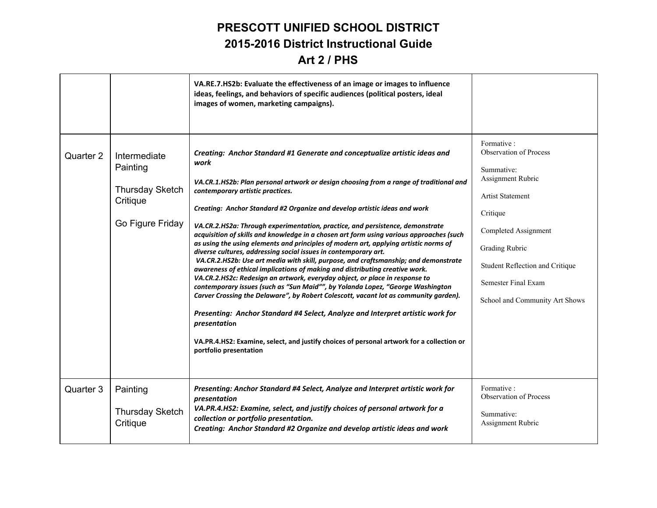|           |                                                                                    | VA.RE.7.HS2b: Evaluate the effectiveness of an image or images to influence<br>ideas, feelings, and behaviors of specific audiences (political posters, ideal<br>images of women, marketing campaigns).                                                                                                                                                                                                                                                                                                                                                                                                                                                                                                                                                                                                                                                                                                                                                                                                                                                                                                                                                                                                                                                                                      |                                                                                                                                                                                                                                                             |
|-----------|------------------------------------------------------------------------------------|----------------------------------------------------------------------------------------------------------------------------------------------------------------------------------------------------------------------------------------------------------------------------------------------------------------------------------------------------------------------------------------------------------------------------------------------------------------------------------------------------------------------------------------------------------------------------------------------------------------------------------------------------------------------------------------------------------------------------------------------------------------------------------------------------------------------------------------------------------------------------------------------------------------------------------------------------------------------------------------------------------------------------------------------------------------------------------------------------------------------------------------------------------------------------------------------------------------------------------------------------------------------------------------------|-------------------------------------------------------------------------------------------------------------------------------------------------------------------------------------------------------------------------------------------------------------|
| Quarter 2 | Intermediate<br>Painting<br><b>Thursday Sketch</b><br>Critique<br>Go Figure Friday | Creating: Anchor Standard #1 Generate and conceptualize artistic ideas and<br>work<br>VA.CR.1.HS2b: Plan personal artwork or design choosing from a range of traditional and<br>contemporary artistic practices.<br>Creating: Anchor Standard #2 Organize and develop artistic ideas and work<br>VA.CR.2.HS2a: Through experimentation, practice, and persistence, demonstrate<br>acquisition of skills and knowledge in a chosen art form using various approaches (such<br>as using the using elements and principles of modern art, applying artistic norms of<br>diverse cultures, addressing social issues in contemporary art.<br>VA.CR.2.HS2b: Use art media with skill, purpose, and craftsmanship; and demonstrate<br>awareness of ethical implications of making and distributing creative work.<br>VA.CR.2.HS2c: Redesign an artwork, everyday object, or place in response to<br>contemporary issues (such as "Sun Maid"", by Yolanda Lopez, "George Washington<br>Carver Crossing the Delaware", by Robert Colescott, vacant lot as community garden).<br>Presenting: Anchor Standard #4 Select, Analyze and Interpret artistic work for<br>presentation<br>VA.PR.4.HS2: Examine, select, and justify choices of personal artwork for a collection or<br>portfolio presentation | Formative:<br><b>Observation of Process</b><br>Summative:<br>Assignment Rubric<br><b>Artist Statement</b><br>Critique<br>Completed Assignment<br>Grading Rubric<br>Student Reflection and Critique<br>Semester Final Exam<br>School and Community Art Shows |
| Quarter 3 | Painting<br><b>Thursday Sketch</b><br>Critique                                     | Presenting: Anchor Standard #4 Select, Analyze and Interpret artistic work for<br>presentation<br>VA.PR.4.HS2: Examine, select, and justify choices of personal artwork for a<br>collection or portfolio presentation.<br>Creating: Anchor Standard #2 Organize and develop artistic ideas and work                                                                                                                                                                                                                                                                                                                                                                                                                                                                                                                                                                                                                                                                                                                                                                                                                                                                                                                                                                                          | Formative:<br><b>Observation of Process</b><br>Summative:<br>Assignment Rubric                                                                                                                                                                              |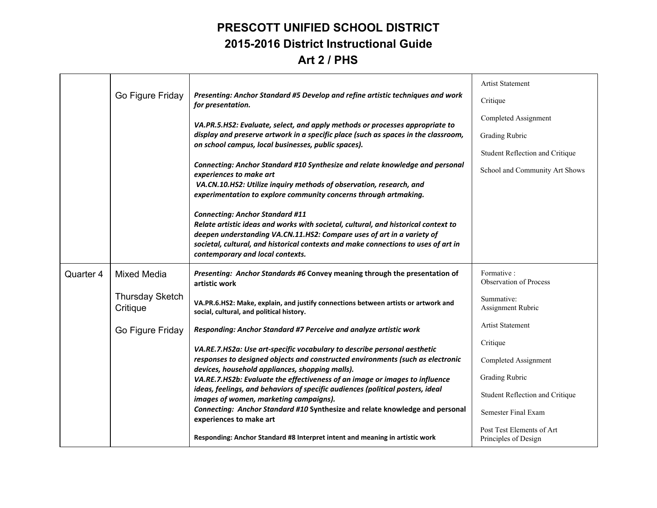|                  |                                                                                                                                           |                                                                                                                                                                                                                                                                                                                                  | <b>Artist Statement</b>                           |
|------------------|-------------------------------------------------------------------------------------------------------------------------------------------|----------------------------------------------------------------------------------------------------------------------------------------------------------------------------------------------------------------------------------------------------------------------------------------------------------------------------------|---------------------------------------------------|
|                  | Go Figure Friday<br>Presenting: Anchor Standard #5 Develop and refine artistic techniques and work<br>for presentation.                   |                                                                                                                                                                                                                                                                                                                                  | Critique                                          |
|                  |                                                                                                                                           | VA.PR.5.HS2: Evaluate, select, and apply methods or processes appropriate to                                                                                                                                                                                                                                                     | Completed Assignment                              |
|                  | display and preserve artwork in a specific place (such as spaces in the classroom,<br>on school campus, local businesses, public spaces). | <b>Grading Rubric</b>                                                                                                                                                                                                                                                                                                            |                                                   |
|                  |                                                                                                                                           |                                                                                                                                                                                                                                                                                                                                  | Student Reflection and Critique                   |
|                  |                                                                                                                                           | Connecting: Anchor Standard #10 Synthesize and relate knowledge and personal<br>experiences to make art                                                                                                                                                                                                                          | School and Community Art Shows                    |
|                  |                                                                                                                                           | VA.CN.10.HS2: Utilize inquiry methods of observation, research, and<br>experimentation to explore community concerns through artmaking.                                                                                                                                                                                          |                                                   |
|                  |                                                                                                                                           | <b>Connecting: Anchor Standard #11</b><br>Relate artistic ideas and works with societal, cultural, and historical context to<br>deepen understanding VA.CN.11.HS2: Compare uses of art in a variety of<br>societal, cultural, and historical contexts and make connections to uses of art in<br>contemporary and local contexts. |                                                   |
| Quarter 4        | <b>Mixed Media</b>                                                                                                                        | Presenting: Anchor Standards #6 Convey meaning through the presentation of<br>artistic work                                                                                                                                                                                                                                      | Formative:<br><b>Observation of Process</b>       |
|                  | <b>Thursday Sketch</b><br>Critique                                                                                                        | VA.PR.6.HS2: Make, explain, and justify connections between artists or artwork and<br>social, cultural, and political history.                                                                                                                                                                                                   | Summative:<br>Assignment Rubric                   |
| Go Figure Friday | Responding: Anchor Standard #7 Perceive and analyze artistic work                                                                         | <b>Artist Statement</b>                                                                                                                                                                                                                                                                                                          |                                                   |
|                  |                                                                                                                                           | VA.RE.7.HS2a: Use art-specific vocabulary to describe personal aesthetic                                                                                                                                                                                                                                                         | Critique                                          |
|                  |                                                                                                                                           | responses to designed objects and constructed environments (such as electronic<br>devices, household appliances, shopping malls).                                                                                                                                                                                                | Completed Assignment                              |
|                  |                                                                                                                                           | VA.RE.7.HS2b: Evaluate the effectiveness of an image or images to influence                                                                                                                                                                                                                                                      | Grading Rubric                                    |
|                  |                                                                                                                                           | ideas, feelings, and behaviors of specific audiences (political posters, ideal<br>images of women, marketing campaigns).                                                                                                                                                                                                         | Student Reflection and Critique                   |
|                  |                                                                                                                                           | Connecting: Anchor Standard #10 Synthesize and relate knowledge and personal<br>experiences to make art                                                                                                                                                                                                                          | Semester Final Exam                               |
|                  |                                                                                                                                           | Responding: Anchor Standard #8 Interpret intent and meaning in artistic work                                                                                                                                                                                                                                                     | Post Test Elements of Art<br>Principles of Design |